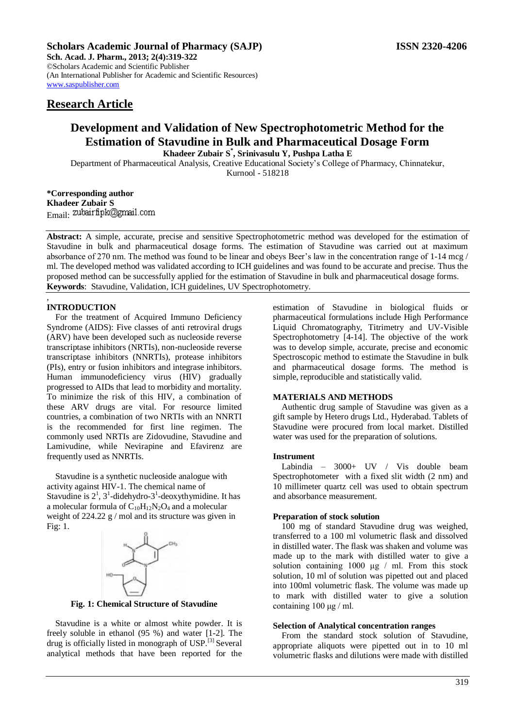**Sch. Acad. J. Pharm., 2013; 2(4):319-322** ©Scholars Academic and Scientific Publisher (An International Publisher for Academic and Scientific Resources) [www.saspublisher.com](http://www.saspublisher.com/) 

# **Research Article**

# **Development and Validation of New Spectrophotometric Method for the Estimation of Stavudine in Bulk and Pharmaceutical Dosage Form Khadeer Zubair S\* , Srinivasulu Y, Pushpa Latha E**

Department of Pharmaceutical Analysis, Creative Educational Society's College of Pharmacy, Chinnatekur,

Kurnool - 518218

**\*Corresponding author Khadeer Zubair S** Email: zubairfipk@gmail.com

**Abstract:** A simple, accurate, precise and sensitive Spectrophotometric method was developed for the estimation of Stavudine in bulk and pharmaceutical dosage forms. The estimation of Stavudine was carried out at maximum absorbance of 270 nm. The method was found to be linear and obeys Beer's law in the concentration range of 1-14 mcg / ml. The developed method was validated according to ICH guidelines and was found to be accurate and precise. Thus the proposed method can be successfully applied for the estimation of Stavudine in bulk and pharmaceutical dosage forms. **Keywords**: Stavudine, Validation, ICH guidelines, UV Spectrophotometry.

#### *,*  **INTRODUCTION**

For the treatment of Acquired Immuno Deficiency Syndrome (AIDS): Five classes of anti retroviral drugs (ARV) have been developed such as nucleoside reverse transcriptase inhibitors (NRTIs), non-nucleoside reverse transcriptase inhibitors (NNRTIs), protease inhibitors (PIs), entry or fusion inhibitors and integrase inhibitors. Human immunodeficiency virus (HIV) gradually progressed to AIDs that lead to morbidity and mortality. To minimize the risk of this HIV, a combination of these ARV drugs are vital. For resource limited countries, a combination of two NRTIs with an NNRTI is the recommended for first line regimen. The commonly used NRTIs are Zidovudine, Stavudine and Lamivudine, while Nevirapine and Efavirenz are frequently used as NNRTIs.

Stavudine is a synthetic nucleoside analogue with activity against HIV-1. The chemical name of Stavudine is  $2^1$ ,  $3^1$ -didehydro- $3^1$ -deoxythymidine. It has a molecular formula of  $C_{10}H_{12}N_2O_4$  and a molecular weight of 224.22  $\frac{g}{m}$  mol and its structure was given in Fig: 1.



**Fig. 1: Chemical Structure of Stavudine**

Stavudine is a white or almost white powder. It is freely soluble in ethanol (95 %) and water [1-2]. The drug is officially listed in monograph of USP.[3] Several analytical methods that have been reported for the

estimation of Stavudine in biological fluids or pharmaceutical formulations include High Performance Liquid Chromatography, Titrimetry and UV-Visible Spectrophotometry [4-14]. The objective of the work was to develop simple, accurate, precise and economic Spectroscopic method to estimate the Stavudine in bulk and pharmaceutical dosage forms. The method is simple, reproducible and statistically valid.

# **MATERIALS AND METHODS**

Authentic drug sample of Stavudine was given as a gift sample by Hetero drugs Ltd., Hyderabad. Tablets of Stavudine were procured from local market. Distilled water was used for the preparation of solutions.

## **Instrument**

Labindia – 3000+ UV / Vis double beam Spectrophotometer with a fixed slit width (2 nm) and 10 millimeter quartz cell was used to obtain spectrum and absorbance measurement.

## **Preparation of stock solution**

100 mg of standard Stavudine drug was weighed, transferred to a 100 ml volumetric flask and dissolved in distilled water. The flask was shaken and volume was made up to the mark with distilled water to give a solution containing 1000 μg / ml. From this stock solution, 10 ml of solution was pipetted out and placed into 100ml volumetric flask. The volume was made up to mark with distilled water to give a solution containing 100 μg / ml.

#### **Selection of Analytical concentration ranges**

From the standard stock solution of Stavudine, appropriate aliquots were pipetted out in to 10 ml volumetric flasks and dilutions were made with distilled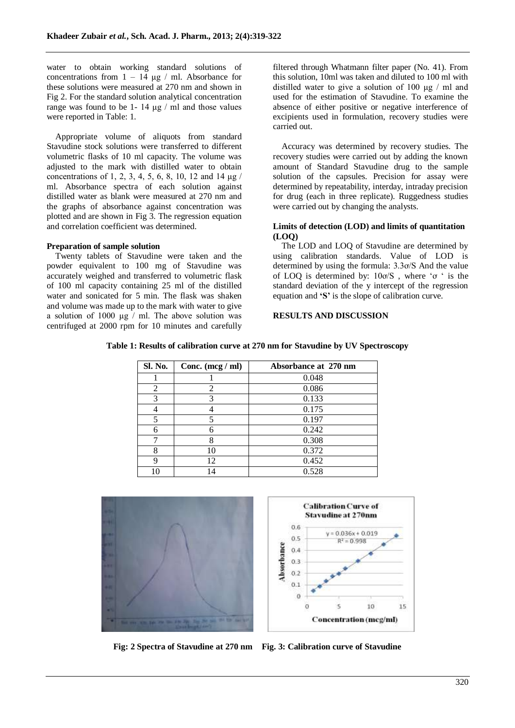water to obtain working standard solutions of concentrations from  $1 - 14 \mu g / m$ . Absorbance for these solutions were measured at 270 nm and shown in Fig 2. For the standard solution analytical concentration range was found to be 1- 14  $\mu$ g / ml and those values were reported in Table: 1.

Appropriate volume of aliquots from standard Stavudine stock solutions were transferred to different volumetric flasks of 10 ml capacity. The volume was adjusted to the mark with distilled water to obtain concentrations of 1, 2, 3, 4, 5, 6, 8, 10, 12 and 14 μg / ml. Absorbance spectra of each solution against distilled water as blank were measured at 270 nm and the graphs of absorbance against concentration was plotted and are shown in Fig 3. The regression equation and correlation coefficient was determined.

### **Preparation of sample solution**

Twenty tablets of Stavudine were taken and the powder equivalent to 100 mg of Stavudine was accurately weighed and transferred to volumetric flask of 100 ml capacity containing 25 ml of the distilled water and sonicated for 5 min. The flask was shaken and volume was made up to the mark with water to give a solution of 1000 μg / ml. The above solution was centrifuged at 2000 rpm for 10 minutes and carefully filtered through Whatmann filter paper (No. 41). From this solution, 10ml was taken and diluted to 100 ml with distilled water to give a solution of 100 μg / ml and used for the estimation of Stavudine. To examine the absence of either positive or negative interference of excipients used in formulation, recovery studies were carried out.

Accuracy was determined by recovery studies. The recovery studies were carried out by adding the known amount of Standard Stavudine drug to the sample solution of the capsules. Precision for assay were determined by repeatability, interday, intraday precision for drug (each in three replicate). Ruggedness studies were carried out by changing the analysts.

## **Limits of detection (LOD) and limits of quantitation (LOQ)**

The LOD and LOQ of Stavudine are determined by using calibration standards. Value of LOD is determined by using the formula: 3.3ơ/S And the value of LOQ is determined by: 10ơ/S , where 'ơ ' is the standard deviation of the y intercept of the regression equation and **'S'** is the slope of calibration curve.

### **RESULTS AND DISCUSSION**

|  | Table 1: Results of calibration curve at 270 nm for Stavudine by UV Spectroscopy |  |  |  |  |
|--|----------------------------------------------------------------------------------|--|--|--|--|
|  |                                                                                  |  |  |  |  |

| Sl. No. | Conc. $(\text{mcg}/\text{ml})$ | Absorbance at 270 nm |
|---------|--------------------------------|----------------------|
|         |                                | 0.048                |
| 2       | 2                              | 0.086                |
| 3       | 3                              | 0.133                |
|         |                                | 0.175                |
| 5       |                                | 0.197                |
| 6       |                                | 0.242                |
|         | 8                              | 0.308                |
| 8       | 10                             | 0.372                |
| 9       | 12                             | 0.452                |
| 10      | 14                             | 0.528                |



**Fig: 2 Spectra of Stavudine at 270 nm Fig. 3: Calibration curve of Stavudine**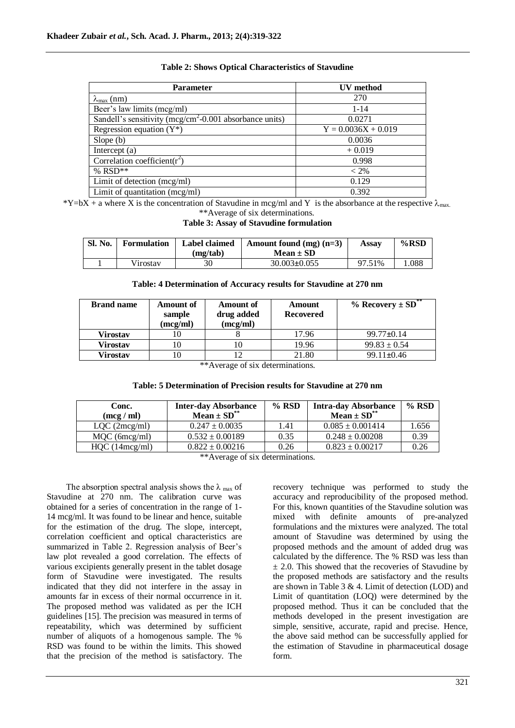| <b>Parameter</b>                                                    | <b>UV</b> method      |
|---------------------------------------------------------------------|-----------------------|
| $\lambda_{\text{max}}$ (nm)                                         | 270                   |
| Beer's law limits (mcg/ml)                                          | $1 - 14$              |
| Sandell's sensitivity (mcg/cm <sup>2</sup> -0.001 absorbance units) | 0.0271                |
| Regression equation $(Y^*)$                                         | $Y = 0.0036X + 0.019$ |
| Slope $(b)$                                                         | 0.0036                |
| Intercept $(a)$                                                     | $+0.019$              |
| Correlation coefficient( $r^2$ )                                    | 0.998                 |
| % $RSD**$                                                           | $< 2\%$               |
| Limit of detection (mcg/ml)                                         | 0.129                 |
| Limit of quantitation $(mcg/ml)$                                    | 0.392                 |

# **Table 2: Shows Optical Characteristics of Stavudine**

\*Y=bX + a where X is the concentration of Stavudine in mcg/ml and Y is the absorbance at the respective  $\lambda_{\text{max}}$ . \*\*Average of six determinations.

## **Table 3: Assay of Stavudine formulation**

| Sl. No. | <b>Formulation</b> | Label claimed<br>(mg/tab) | Amount found $(mg)$ $(n=3)$<br>Mean $\pm$ SD | Assay  | $%$ RSD |
|---------|--------------------|---------------------------|----------------------------------------------|--------|---------|
|         | Virostav           | 30                        | $30.003 \pm 0.055$                           | 97.51% | .088    |

| Table: 4 Determination of Accuracy results for Stavudine at 270 nm |  |  |  |  |
|--------------------------------------------------------------------|--|--|--|--|
|--------------------------------------------------------------------|--|--|--|--|

| <b>Brand name</b> | <b>Amount of</b><br>sample<br>(mcg/ml) | <b>Amount</b> of<br>drug added<br>(mcg/ml) | Amount<br><b>Recovered</b> | % Recovery $\pm$ SD <sup>**</sup> |
|-------------------|----------------------------------------|--------------------------------------------|----------------------------|-----------------------------------|
| <b>Virostav</b>   | 10                                     |                                            | 17.96                      | $99.77 \pm 0.14$                  |
| <b>Virostav</b>   | 10                                     |                                            | 19.96                      | $99.83 \pm 0.54$                  |
| Virostav          | 10<br>.                                |                                            | 21.80                      | $99.11 \pm 0.46$                  |

\*\*Average of six determinations.

### **Table: 5 Determination of Precision results for Stavudine at 270 nm**

| Conc.<br>(mcg / ml)                              | <b>Inter-day Absorbance</b><br>$Mean \pm SD^{**}$ | $%$ RSD | <b>Intra-day Absorbance</b><br>Mean $\pm$ SD <sup>**</sup> | $%$ RSD |  |  |
|--------------------------------------------------|---------------------------------------------------|---------|------------------------------------------------------------|---------|--|--|
| LOC (2mcg/ml)                                    | $0.247 \pm 0.0035$                                | 1.41    | $0.085 \pm 0.001414$                                       | 1.656   |  |  |
| $MQC$ (6mcg/ml)                                  | $0.532 \pm 0.00189$                               | 0.35    | $0.248 \pm 0.00208$                                        | 0.39    |  |  |
| $HQC$ (14 $mcg/ml$ )                             | $0.822 \pm 0.00216$                               | 0.26    | $0.823 \pm 0.00217$                                        | 0.26    |  |  |
| $***$ $\lambda$ roughed of $air$ determinations. |                                                   |         |                                                            |         |  |  |

\*\*Average of six determinations.

The absorption spectral analysis shows the  $\lambda_{\text{max}}$  of Stavudine at 270 nm. The calibration curve was obtained for a series of concentration in the range of 1- 14 mcg/ml. It was found to be linear and hence, suitable for the estimation of the drug. The slope, intercept, correlation coefficient and optical characteristics are summarized in Table 2. Regression analysis of Beer's law plot revealed a good correlation. The effects of various excipients generally present in the tablet dosage form of Stavudine were investigated. The results indicated that they did not interfere in the assay in amounts far in excess of their normal occurrence in it. The proposed method was validated as per the ICH guidelines [15]. The precision was measured in terms of repeatability, which was determined by sufficient number of aliquots of a homogenous sample. The % RSD was found to be within the limits. This showed that the precision of the method is satisfactory. The

recovery technique was performed to study the accuracy and reproducibility of the proposed method. For this, known quantities of the Stavudine solution was mixed with definite amounts of pre-analyzed formulations and the mixtures were analyzed. The total amount of Stavudine was determined by using the proposed methods and the amount of added drug was calculated by the difference. The % RSD was less than  $\pm$  2.0. This showed that the recoveries of Stavudine by the proposed methods are satisfactory and the results are shown in Table 3 & 4. Limit of detection (LOD) and Limit of quantitation (LOQ) were determined by the proposed method. Thus it can be concluded that the methods developed in the present investigation are simple, sensitive, accurate, rapid and precise. Hence, the above said method can be successfully applied for the estimation of Stavudine in pharmaceutical dosage form.